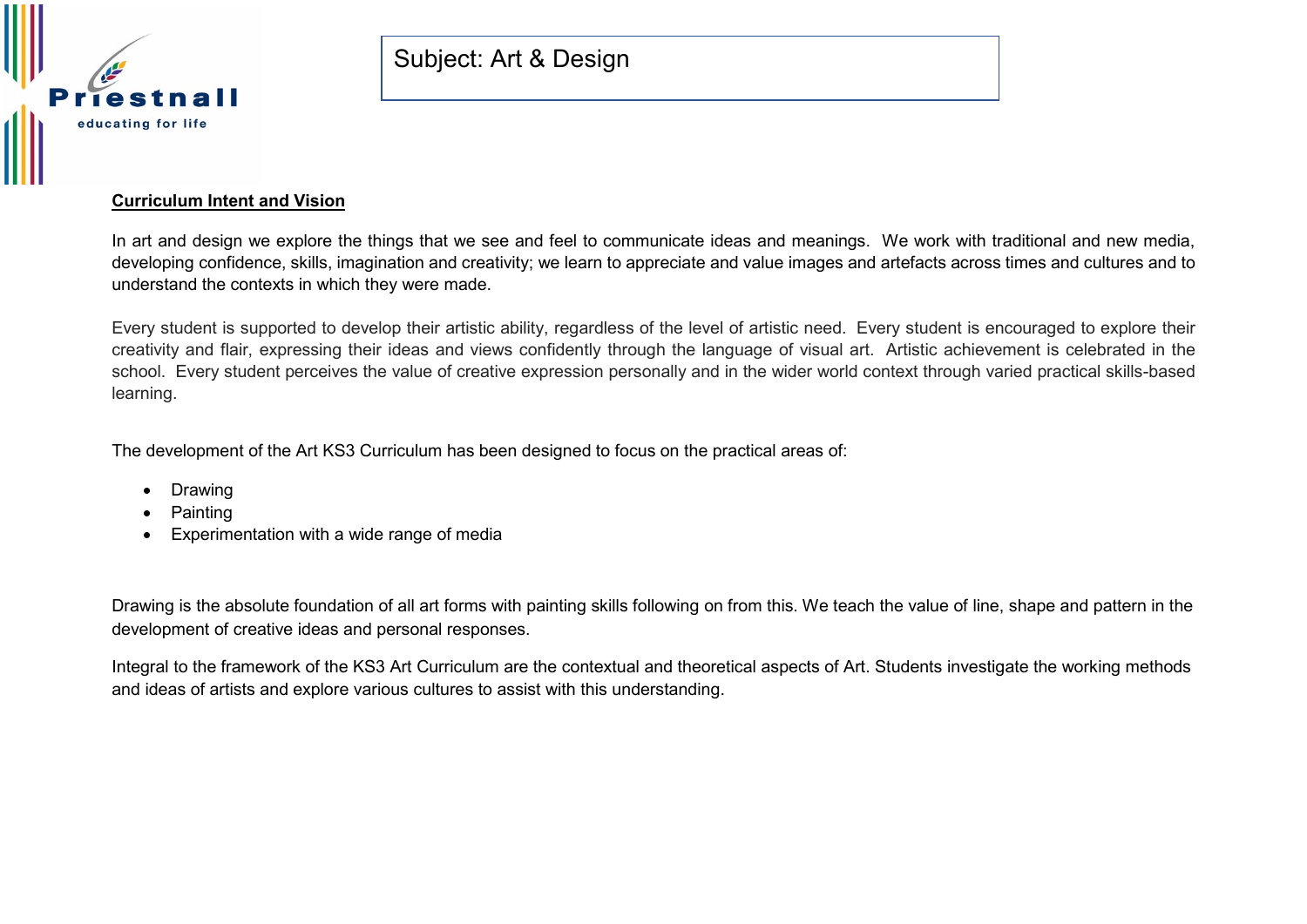

### **Curriculum Intent and Vision**

In art and design we explore the things that we see and feel to communicate ideas and meanings. We work with traditional and new media, developing confidence, skills, imagination and creativity; we learn to appreciate and value images and artefacts across times and cultures and to understand the contexts in which they were made.

Every student is supported to develop their artistic ability, regardless of the level of artistic need. Every student is encouraged to explore their creativity and flair, expressing their ideas and views confidently through the language of visual art. Artistic achievement is celebrated in the school. Every student perceives the value of creative expression personally and in the wider world context through varied practical skills-based learning.

The development of the Art KS3 Curriculum has been designed to focus on the practical areas of:

- Drawing
- **Painting**
- Experimentation with a wide range of media

Drawing is the absolute foundation of all art forms with painting skills following on from this. We teach the value of line, shape and pattern in the development of creative ideas and personal responses.

Integral to the framework of the KS3 Art Curriculum are the contextual and theoretical aspects of Art. Students investigate the working methods and ideas of artists and explore various cultures to assist with this understanding.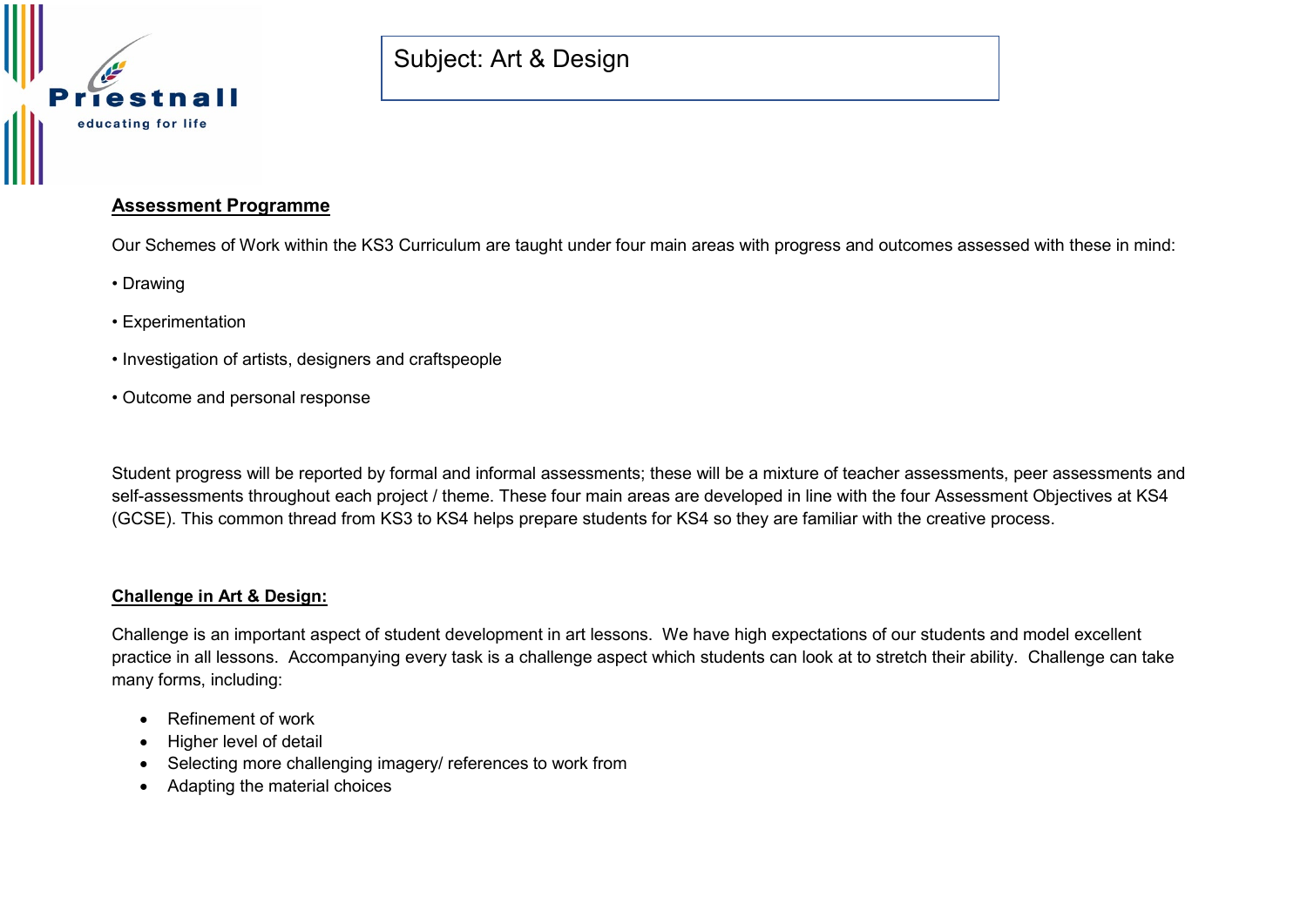

## **Assessment Programme**

Our Schemes of Work within the KS3 Curriculum are taught under four main areas with progress and outcomes assessed with these in mind:

- Drawing
- Experimentation
- Investigation of artists, designers and craftspeople
- Outcome and personal response

Student progress will be reported by formal and informal assessments; these will be a mixture of teacher assessments, peer assessments and self-assessments throughout each project / theme. These four main areas are developed in line with the four Assessment Objectives at KS4 (GCSE). This common thread from KS3 to KS4 helps prepare students for KS4 so they are familiar with the creative process.

#### **Challenge in Art & Design:**

Challenge is an important aspect of student development in art lessons. We have high expectations of our students and model excellent practice in all lessons. Accompanying every task is a challenge aspect which students can look at to stretch their ability. Challenge can take many forms, including:

- Refinement of work
- Higher level of detail
- Selecting more challenging imagery/ references to work from
- Adapting the material choices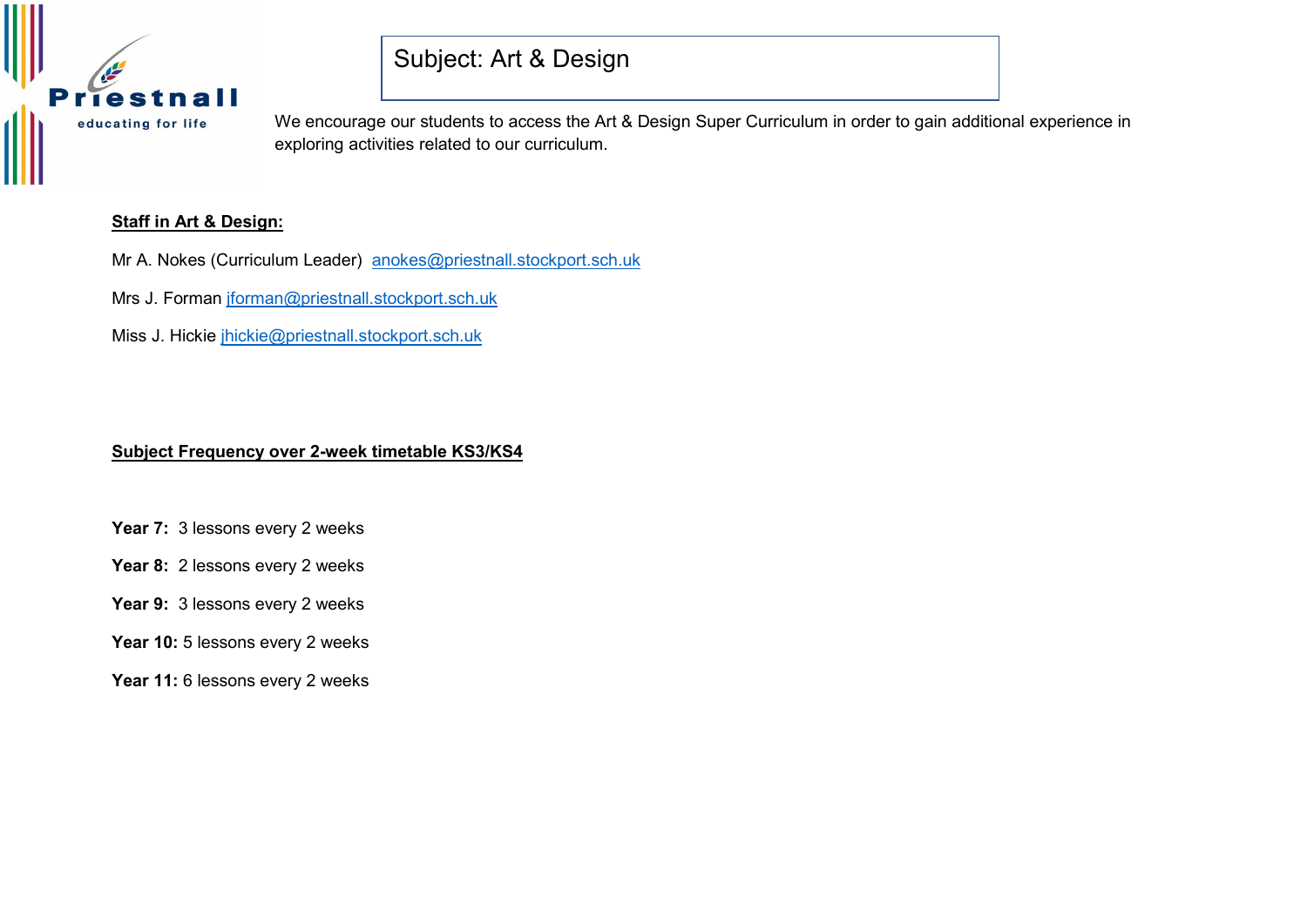

We encourage our students to access the Art & Design Super Curriculum in order to gain additional experience in exploring activities related to our curriculum.

### **Staff in Art & Design:**

Mr A. Nokes (Curriculum Leader) [anokes@priestnall.stockport.sch.uk](mailto:anokes@priestnall.stockport.sch.uk)

Mrs J. Forman [jforman@priestnall.stockport.sch.uk](mailto:jforman@priestnall.stockport.sch.uk)

Miss J. Hickie [jhickie@priestnall.stockport.sch.uk](mailto:jhickie@priestnall.stockport.sch.uk)

#### **Subject Frequency over 2-week timetable KS3/KS4**

- **Year 7:** 3 lessons every 2 weeks
- **Year 8:** 2 lessons every 2 weeks
- **Year 9:** 3 lessons every 2 weeks
- **Year 10:** 5 lessons every 2 weeks
- **Year 11:** 6 lessons every 2 weeks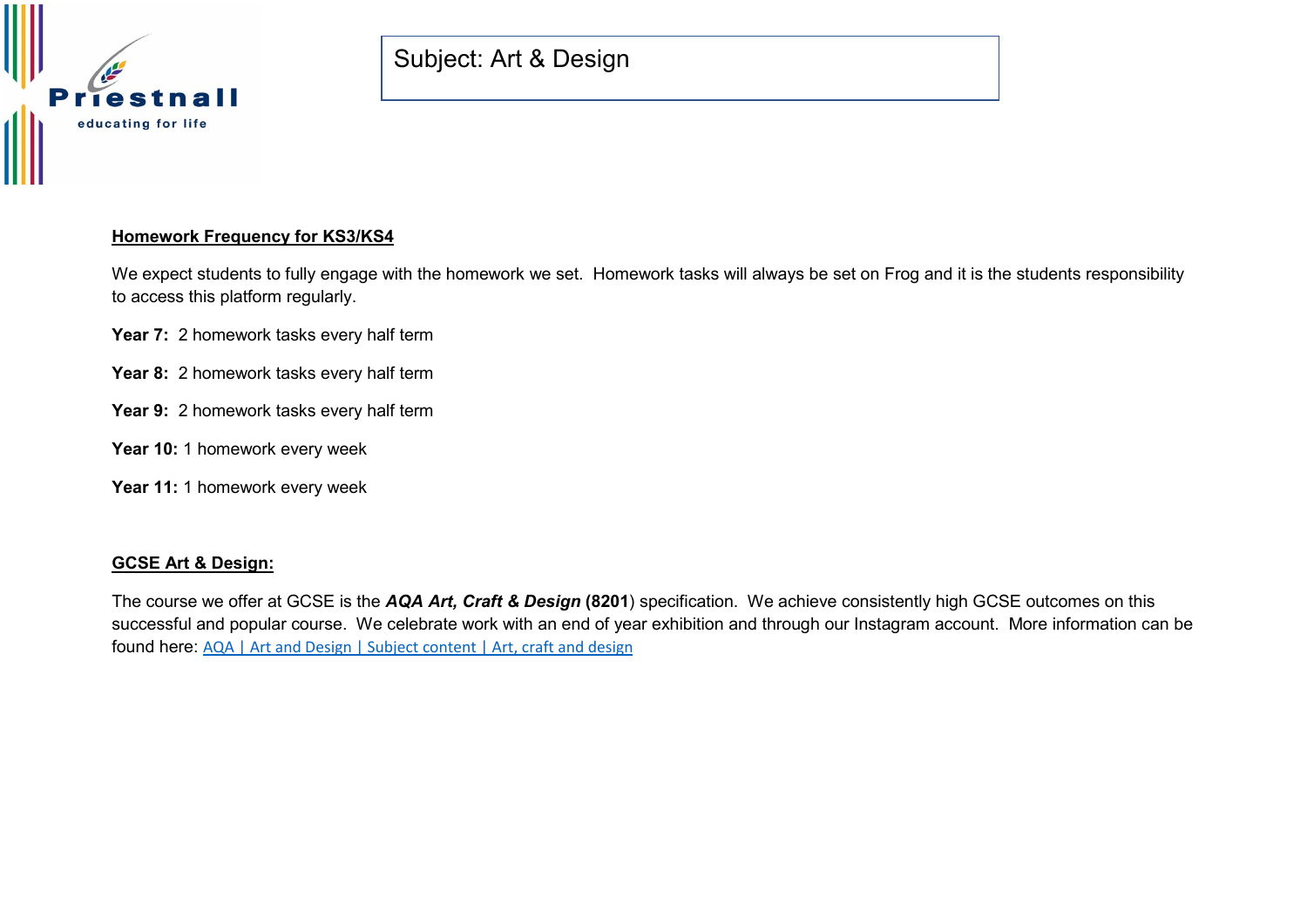

# **Homework Frequency for KS3/KS4**

We expect students to fully engage with the homework we set. Homework tasks will always be set on Frog and it is the students responsibility to access this platform regularly.

- Year 7: 2 homework tasks every half term
- **Year 8:** 2 homework tasks every half term
- **Year 9:** 2 homework tasks every half term
- **Year 10:** 1 homework every week
- **Year 11:** 1 homework every week

### **GCSE Art & Design:**

The course we offer at GCSE is the *AQA Art, Craft & Design* **(8201**) specification. We achieve consistently high GCSE outcomes on this successful and popular course. We celebrate work with an end of year exhibition and through our Instagram account. More information can be found here: [AQA | Art and Design | Subject content | Art, craft and design](https://www.aqa.org.uk/subjects/art-and-design/gcse/art-and-design-8201-8206/subject-content/art,-craft-and-design)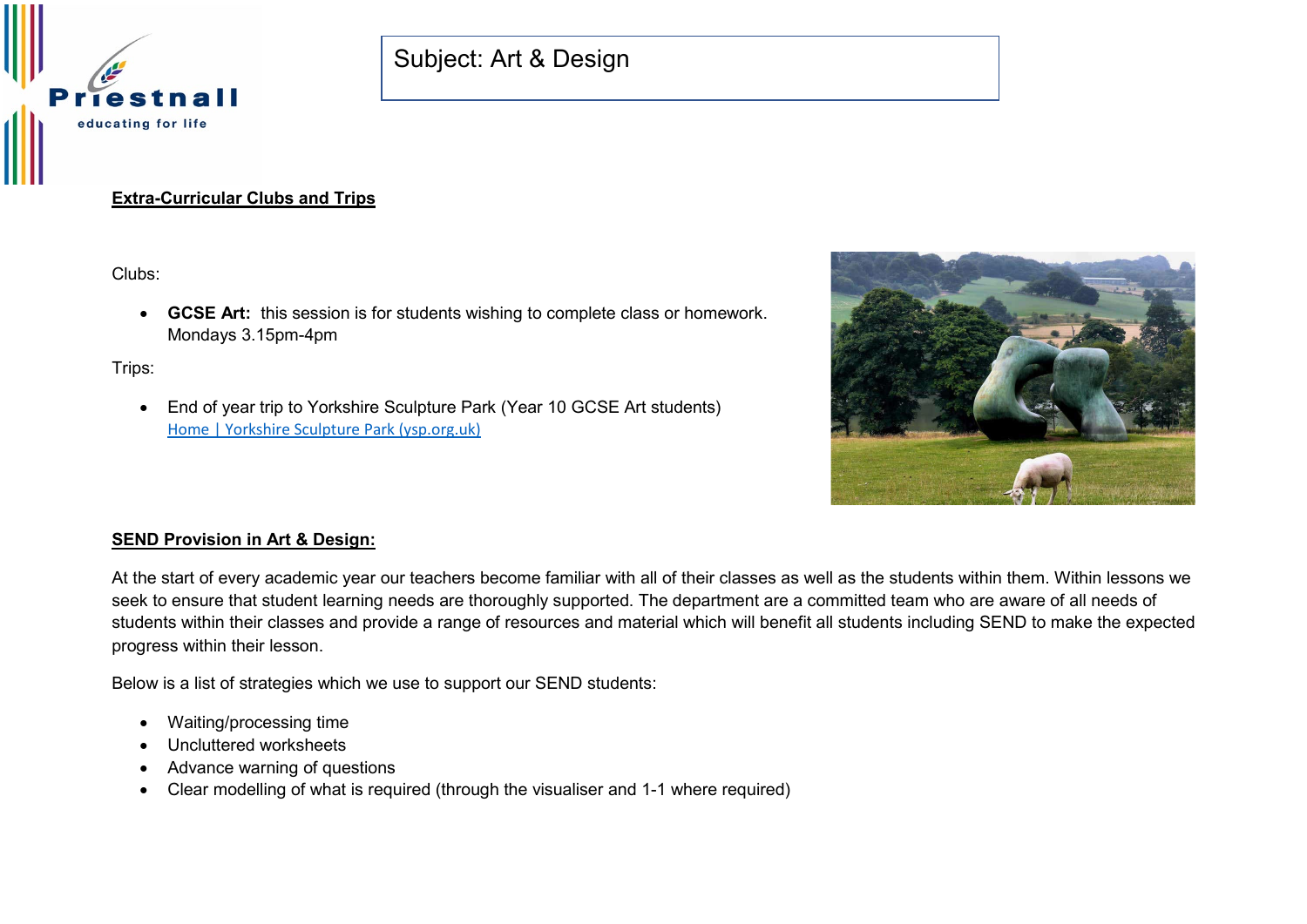

# **Extra-Curricular Clubs and Trips**

Clubs:

• **GCSE Art:** this session is for students wishing to complete class or homework. Mondays 3.15pm-4pm

Trips:

• End of year trip to Yorkshire Sculpture Park (Year 10 GCSE Art students) [Home | Yorkshire Sculpture Park \(ysp.org.uk\)](https://ysp.org.uk/)



### **SEND Provision in Art & Design:**

At the start of every academic year our teachers become familiar with all of their classes as well as the students within them. Within lessons we seek to ensure that student learning needs are thoroughly supported. The department are a committed team who are aware of all needs of students within their classes and provide a range of resources and material which will benefit all students including SEND to make the expected progress within their lesson.

Below is a list of strategies which we use to support our SEND students:

- Waiting/processing time
- Uncluttered worksheets
- Advance warning of questions
- Clear modelling of what is required (through the visualiser and 1-1 where required)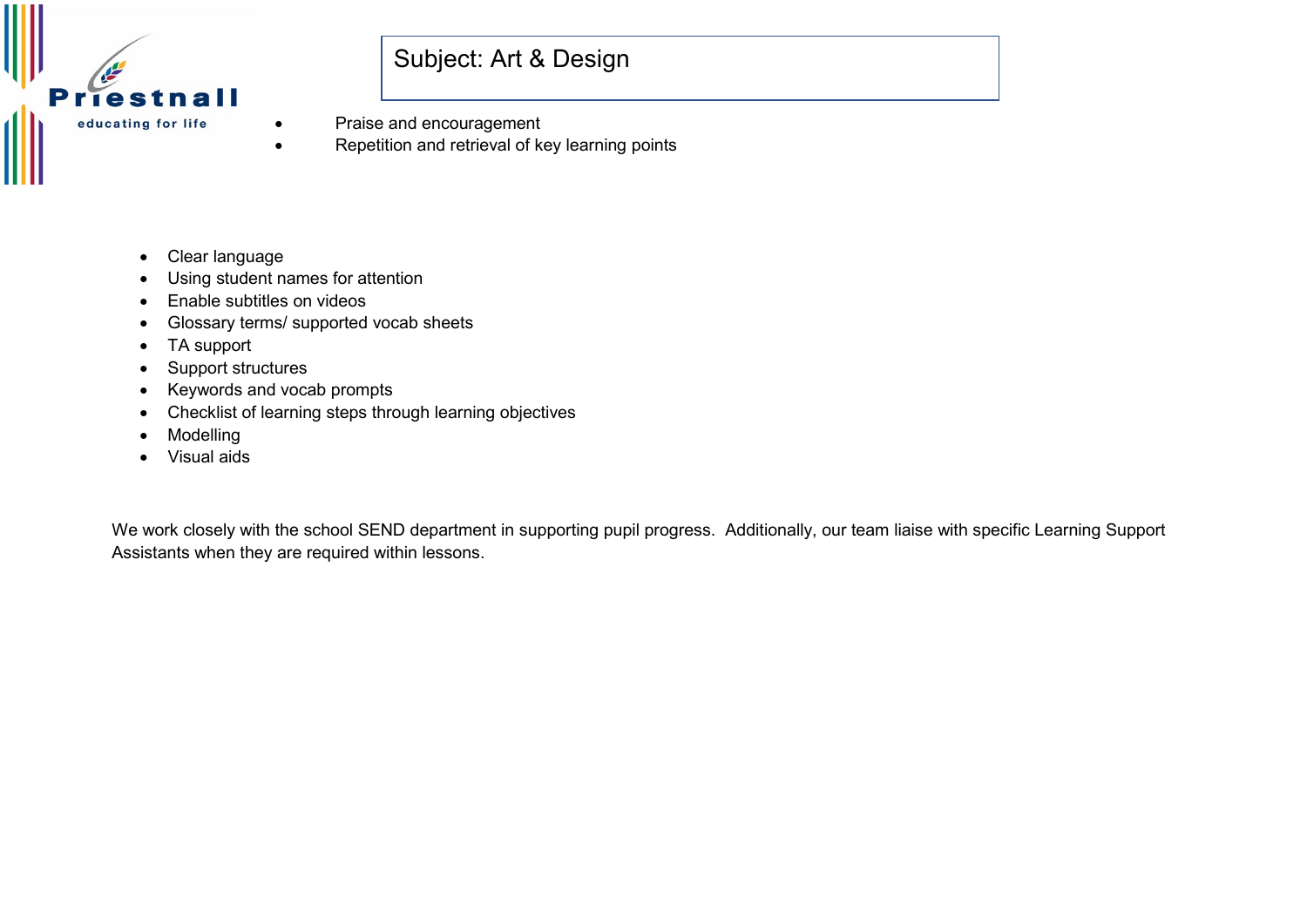

- Praise and encouragement
- Repetition and retrieval of key learning points
- Clear language
- Using student names for attention
- Enable subtitles on videos
- Glossary terms/ supported vocab sheets
- TA support
- Support structures
- Keywords and vocab prompts
- Checklist of learning steps through learning objectives
- **Modelling**
- Visual aids

We work closely with the school SEND department in supporting pupil progress. Additionally, our team liaise with specific Learning Support Assistants when they are required within lessons.